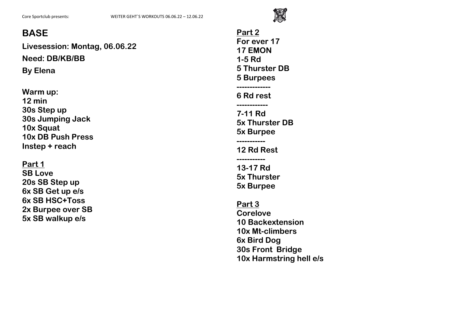

**Livesession: Montag, 06.06.22 Need: DB/KB/BB By Elena**

**Warm up: 12 min 30s Step up 30s Jumping Jack 10x Squat 10x DB Push Press Instep + reach**

#### **Part 1**

**SB Love 20s SB Step up 6x SB Get up e/s 6x SB HSC+Toss 2x Burpee over SB 5x SB walkup e/s**

**Part 2 For ever 17 17 EMON 1-5 Rd 5 Thurster DB 5 Burpees ------------- 6 Rd rest ------------ 7-11 Rd 5x Thurster DB 5x Burpee ----------- 12 Rd Rest ----------- 13-17 Rd 5x Thurster 5x Burpee Part 3 Corelove 10 Backextension 10x Mt-climbers 6x Bird Dog 30s Front Bridge**

**10x Harmstring hell e/s**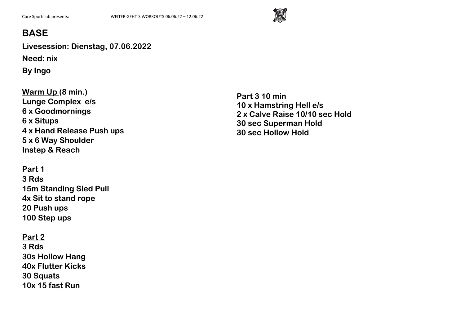

**Livesession: Dienstag, 07.06.2022 Need: nix**

**By Ingo**

**Warm Up (8 min.) Lunge Complex e/s 6 x Goodmornings 6 x Situps 4 x Hand Release Push ups 5 x 6 Way Shoulder Instep & Reach**

### **Part 1**

**3 Rds 15m Standing Sled Pull 4x Sit to stand rope 20 Push ups 100 Step ups**

### **Part 2**

**3 Rds 30s Hollow Hang 40x Flutter Kicks 30 Squats 10x 15 fast Run**

**Part 3 10 min 10 x Hamstring Hell e/s 2 x Calve Raise 10/10 sec Hold 30 sec Superman Hold 30 sec Hollow Hold**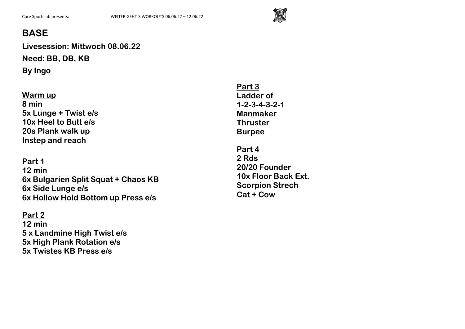

**Livesession: Mittwoch 08.06.22 Need: BB, DB, KB By Ingo**

#### **Warm up 8 min 5x Lunge + Twist e/s 10x Heel to Butt e/s 20s Plank walk up Instep and reach**

**Part 1 12 min 6x Bulgarien Split Squat + Chaos KB 6x Side Lunge e/s 6x Hollow Hold Bottom up Press e/s**

#### **Part 2**

**12 min 5 x Landmine High Twist e/s 5x High Plank Rotation e/s 5x Twistes KB Press e/s**

**Part 3 Ladder of 1-2-3-4-3-2-1 Manmaker Thruster Burpee**

**Part 4 2 Rds 20/20 Founder 10x Floor Back Ext. Scorpion Strech Cat + Cow**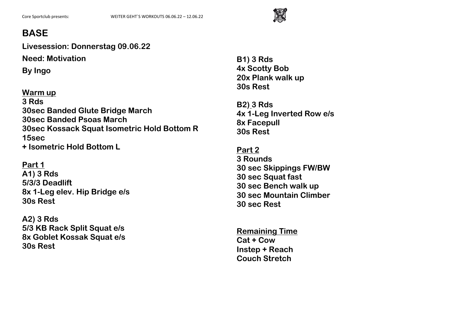

**Livesession: Donnerstag 09.06.22**

**Need: Motivation**

**By Ingo**

### **Warm up**

**3 Rds 30sec Banded Glute Bridge March 30sec Banded Psoas March 30sec Kossack Squat Isometric Hold Bottom R 15sec + Isometric Hold Bottom L** 

**Part 1**

**A1) 3 Rds 5/3/3 Deadlift 8x 1-Leg elev. Hip Bridge e/s 30s Rest**

**A2) 3 Rds 5/3 KB Rack Split Squat e/s 8x Goblet Kossak Squat e/s 30s Rest** 

**B1) 3 Rds 4x Scotty Bob 20x Plank walk up 30s Rest**

**B2) 3 Rds 4x 1-Leg Inverted Row e/s 8x Facepull 30s Rest**

**Part 2 3 Rounds 30 sec Skippings FW/BW 30 sec Squat fast 30 sec Bench walk up 30 sec Mountain Climber 30 sec Rest**

**Remaining Time Cat + Cow Instep + Reach Couch Stretch**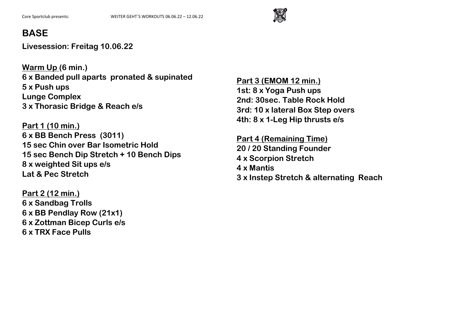

**Livesession: Freitag 10.06.22**

**Warm Up (6 min.) 6 x Banded pull aparts pronated & supinated 5 x Push ups Lunge Complex 3 x Thorasic Bridge & Reach e/s**

**Part 1 (10 min.) 6 x BB Bench Press (3011) 15 sec Chin over Bar Isometric Hold 15 sec Bench Dip Stretch + 10 Bench Dips 8 x weighted Sit ups e/s Lat & Pec Stretch**

**Part 2 (12 min.) 6 x Sandbag Trolls 6 x BB Pendlay Row (21x1) 6 x Zottman Bicep Curls e/s 6 x TRX Face Pulls**

**Part 3 (EMOM 12 min.) 1st: 8 x Yoga Push ups 2nd: 30sec. Table Rock Hold 3rd: 10 x lateral Box Step overs 4th: 8 x 1-Leg Hip thrusts e/s** 

**Part 4 (Remaining Time) 20 / 20 Standing Founder 4 x Scorpion Stretch 4 x Mantis 3 x Instep Stretch & alternating Reach**